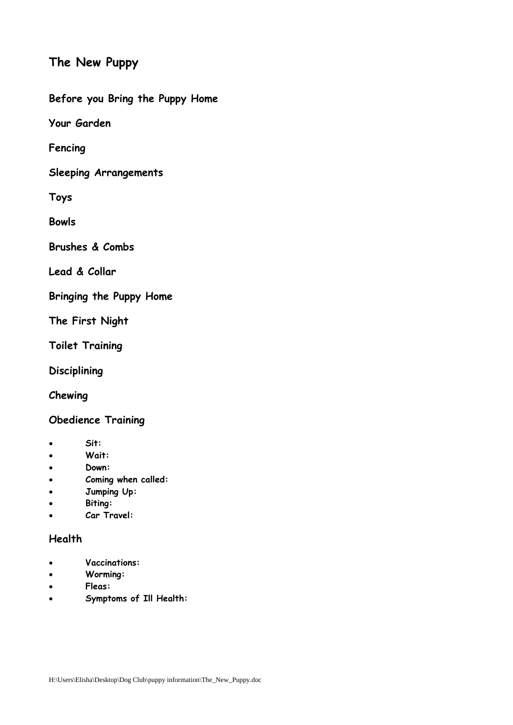# **The New Puppy**

**Before you Bring the Puppy Home**

**Your Garden**

**Fencing**

**Sleeping Arrangements**

**Toys**

**Bowls**

**Brushes & Combs**

**Lead & Collar**

**Bringing the Puppy Home**

**The First Night**

**Toilet Training**

**Disciplining**

**Chewing**

# **Obedience Training**

- **Sit:**
- **Wait:**
- **Down:**
- **Coming when called:**
- **Jumping Up:**
- **Biting:**
- **Car Travel:**

#### **Health**

- **Vaccinations:**
- **Worming:**
- **Fleas:**
- **Symptoms of Ill Health:**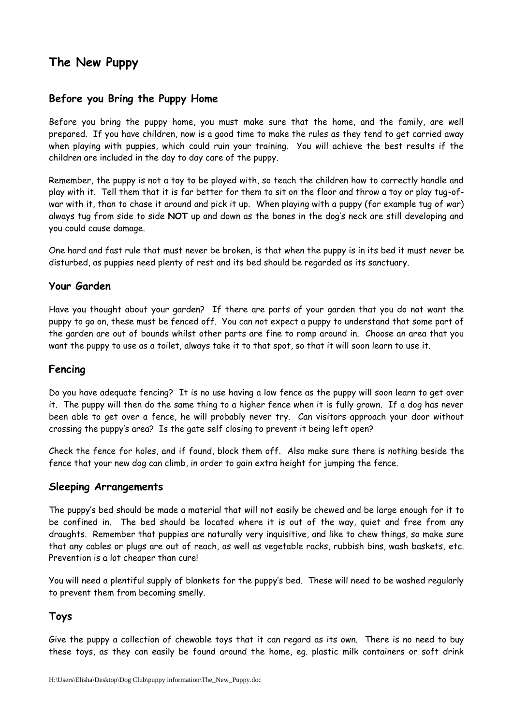# **The New Puppy**

# **Before you Bring the Puppy Home**

Before you bring the puppy home, you must make sure that the home, and the family, are well prepared. If you have children, now is a good time to make the rules as they tend to get carried away when playing with puppies, which could ruin your training. You will achieve the best results if the children are included in the day to day care of the puppy.

Remember, the puppy is not a toy to be played with, so teach the children how to correctly handle and play with it. Tell them that it is far better for them to sit on the floor and throw a toy or play tug-ofwar with it, than to chase it around and pick it up. When playing with a puppy (for example tug of war) always tug from side to side **NOT** up and down as the bones in the dog's neck are still developing and you could cause damage.

One hard and fast rule that must never be broken, is that when the puppy is in its bed it must never be disturbed, as puppies need plenty of rest and its bed should be regarded as its sanctuary.

# **Your Garden**

Have you thought about your garden? If there are parts of your garden that you do not want the puppy to go on, these must be fenced off. You can not expect a puppy to understand that some part of the garden are out of bounds whilst other parts are fine to romp around in. Choose an area that you want the puppy to use as a toilet, always take it to that spot, so that it will soon learn to use it.

### **Fencing**

Do you have adequate fencing? It is no use having a low fence as the puppy will soon learn to get over it. The puppy will then do the same thing to a higher fence when it is fully grown. If a dog has never been able to get over a fence, he will probably never try. Can visitors approach your door without crossing the puppy's area? Is the gate self closing to prevent it being left open?

Check the fence for holes, and if found, block them off. Also make sure there is nothing beside the fence that your new dog can climb, in order to gain extra height for jumping the fence.

#### **Sleeping Arrangements**

The puppy's bed should be made a material that will not easily be chewed and be large enough for it to be confined in. The bed should be located where it is out of the way, quiet and free from any draughts. Remember that puppies are naturally very inquisitive, and like to chew things, so make sure that any cables or plugs are out of reach, as well as vegetable racks, rubbish bins, wash baskets, etc. Prevention is a lot cheaper than cure!

You will need a plentiful supply of blankets for the puppy's bed. These will need to be washed regularly to prevent them from becoming smelly.

# **Toys**

Give the puppy a collection of chewable toys that it can regard as its own. There is no need to buy these toys, as they can easily be found around the home, eg. plastic milk containers or soft drink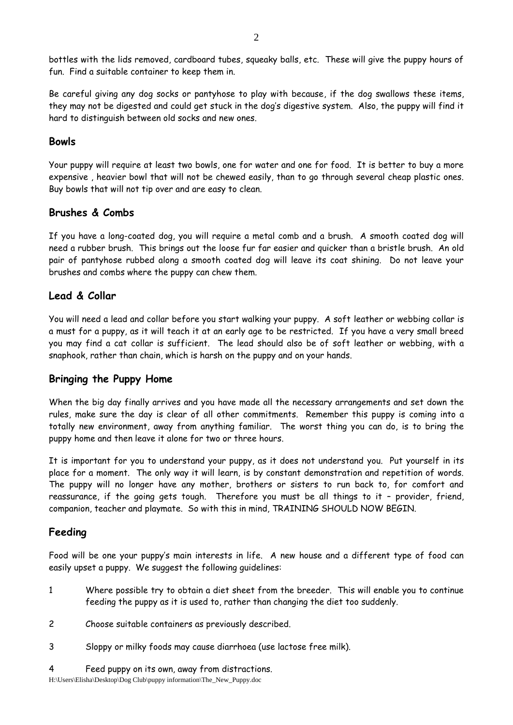bottles with the lids removed, cardboard tubes, squeaky balls, etc. These will give the puppy hours of fun. Find a suitable container to keep them in.

Be careful giving any dog socks or pantyhose to play with because, if the dog swallows these items, they may not be digested and could get stuck in the dog's digestive system. Also, the puppy will find it hard to distinguish between old socks and new ones.

# **Bowls**

Your puppy will require at least two bowls, one for water and one for food. It is better to buy a more expensive , heavier bowl that will not be chewed easily, than to go through several cheap plastic ones. Buy bowls that will not tip over and are easy to clean.

# **Brushes & Combs**

If you have a long-coated dog, you will require a metal comb and a brush. A smooth coated dog will need a rubber brush. This brings out the loose fur far easier and quicker than a bristle brush. An old pair of pantyhose rubbed along a smooth coated dog will leave its coat shining. Do not leave your brushes and combs where the puppy can chew them.

# **Lead & Collar**

You will need a lead and collar before you start walking your puppy. A soft leather or webbing collar is a must for a puppy, as it will teach it at an early age to be restricted. If you have a very small breed you may find a cat collar is sufficient. The lead should also be of soft leather or webbing, with a snaphook, rather than chain, which is harsh on the puppy and on your hands.

### **Bringing the Puppy Home**

When the big day finally arrives and you have made all the necessary arrangements and set down the rules, make sure the day is clear of all other commitments. Remember this puppy is coming into a totally new environment, away from anything familiar. The worst thing you can do, is to bring the puppy home and then leave it alone for two or three hours.

It is important for you to understand your puppy, as it does not understand you. Put yourself in its place for a moment. The only way it will learn, is by constant demonstration and repetition of words. The puppy will no longer have any mother, brothers or sisters to run back to, for comfort and reassurance, if the going gets tough. Therefore you must be all things to it – provider, friend, companion, teacher and playmate. So with this in mind, TRAINING SHOULD NOW BEGIN.

# **Feeding**

Food will be one your puppy's main interests in life. A new house and a different type of food can easily upset a puppy. We suggest the following guidelines:

- 1 Where possible try to obtain a diet sheet from the breeder. This will enable you to continue feeding the puppy as it is used to, rather than changing the diet too suddenly.
- 2 Choose suitable containers as previously described.
- 3 Sloppy or milky foods may cause diarrhoea (use lactose free milk).
- 4 Feed puppy on its own, away from distractions.

H:\Users\Elisha\Desktop\Dog Club\puppy information\The\_New\_Puppy.doc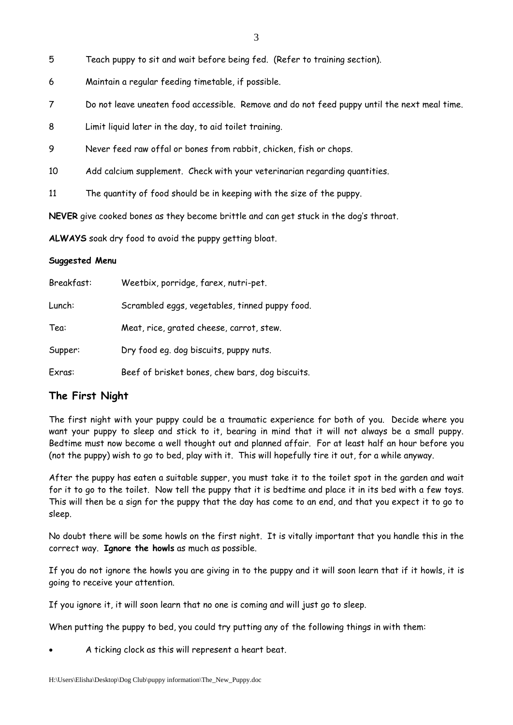- 3
- 5 Teach puppy to sit and wait before being fed. (Refer to training section).
- 6 Maintain a regular feeding timetable, if possible.
- 7 Do not leave uneaten food accessible. Remove and do not feed puppy until the next meal time.
- 8 Limit liquid later in the day, to aid toilet training.
- 9 Never feed raw offal or bones from rabbit, chicken, fish or chops.
- 10 Add calcium supplement. Check with your veterinarian regarding quantities.
- 11 The quantity of food should be in keeping with the size of the puppy.

**NEVER** give cooked bones as they become brittle and can get stuck in the dog's throat.

**ALWAYS** soak dry food to avoid the puppy getting bloat.

#### **Suggested Menu**

| Breakfast: | Weetbix, porridge, farex, nutri-pet.            |
|------------|-------------------------------------------------|
| Lunch:     | Scrambled eggs, vegetables, tinned puppy food.  |
| Tea:       | Meat, rice, grated cheese, carrot, stew.        |
| Supper:    | Dry food eq. dog biscuits, puppy nuts.          |
| Exras:     | Beef of brisket bones, chew bars, dog biscuits. |

### **The First Night**

The first night with your puppy could be a traumatic experience for both of you. Decide where you want your puppy to sleep and stick to it, bearing in mind that it will not always be a small puppy. Bedtime must now become a well thought out and planned affair. For at least half an hour before you (not the puppy) wish to go to bed, play with it. This will hopefully tire it out, for a while anyway.

After the puppy has eaten a suitable supper, you must take it to the toilet spot in the garden and wait for it to go to the toilet. Now tell the puppy that it is bedtime and place it in its bed with a few toys. This will then be a sign for the puppy that the day has come to an end, and that you expect it to go to sleep.

No doubt there will be some howls on the first night. It is vitally important that you handle this in the correct way. **Ignore the howls** as much as possible.

If you do not ignore the howls you are giving in to the puppy and it will soon learn that if it howls, it is going to receive your attention.

If you ignore it, it will soon learn that no one is coming and will just go to sleep.

When putting the puppy to bed, you could try putting any of the following things in with them:

• A ticking clock as this will represent a heart beat.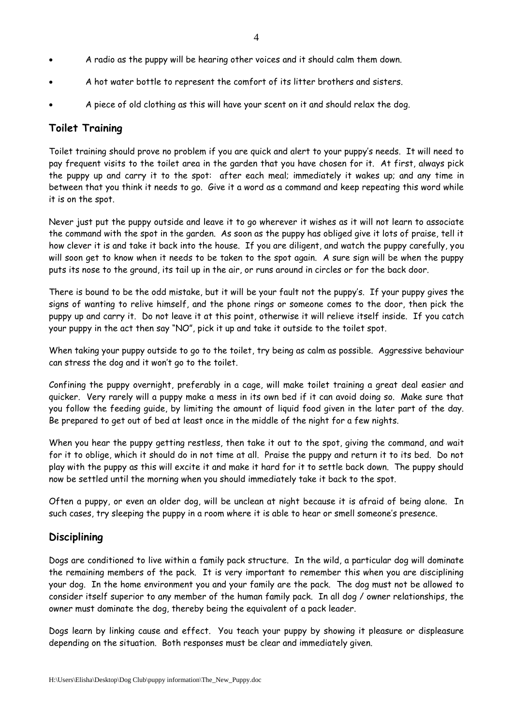- A radio as the puppy will be hearing other voices and it should calm them down.
- A hot water bottle to represent the comfort of its litter brothers and sisters.
- A piece of old clothing as this will have your scent on it and should relax the dog.

## **Toilet Training**

Toilet training should prove no problem if you are quick and alert to your puppy's needs. It will need to pay frequent visits to the toilet area in the garden that you have chosen for it. At first, always pick the puppy up and carry it to the spot: after each meal; immediately it wakes up; and any time in between that you think it needs to go. Give it a word as a command and keep repeating this word while it is on the spot.

Never just put the puppy outside and leave it to go wherever it wishes as it will not learn to associate the command with the spot in the garden. As soon as the puppy has obliged give it lots of praise, tell it how clever it is and take it back into the house. If you are diligent, and watch the puppy carefully, you will soon get to know when it needs to be taken to the spot again. A sure sign will be when the puppy puts its nose to the ground, its tail up in the air, or runs around in circles or for the back door.

There is bound to be the odd mistake, but it will be your fault not the puppy's. If your puppy gives the signs of wanting to relive himself, and the phone rings or someone comes to the door, then pick the puppy up and carry it. Do not leave it at this point, otherwise it will relieve itself inside. If you catch your puppy in the act then say "NO", pick it up and take it outside to the toilet spot.

When taking your puppy outside to go to the toilet, try being as calm as possible. Aggressive behaviour can stress the dog and it won't go to the toilet.

Confining the puppy overnight, preferably in a cage, will make toilet training a great deal easier and quicker. Very rarely will a puppy make a mess in its own bed if it can avoid doing so. Make sure that you follow the feeding guide, by limiting the amount of liquid food given in the later part of the day. Be prepared to get out of bed at least once in the middle of the night for a few nights.

When you hear the puppy getting restless, then take it out to the spot, giving the command, and wait for it to oblige, which it should do in not time at all. Praise the puppy and return it to its bed. Do not play with the puppy as this will excite it and make it hard for it to settle back down. The puppy should now be settled until the morning when you should immediately take it back to the spot.

Often a puppy, or even an older dog, will be unclean at night because it is afraid of being alone. In such cases, try sleeping the puppy in a room where it is able to hear or smell someone's presence.

### **Disciplining**

Dogs are conditioned to live within a family pack structure. In the wild, a particular dog will dominate the remaining members of the pack. It is very important to remember this when you are disciplining your dog. In the home environment you and your family are the pack. The dog must not be allowed to consider itself superior to any member of the human family pack. In all dog / owner relationships, the owner must dominate the dog, thereby being the equivalent of a pack leader.

Dogs learn by linking cause and effect. You teach your puppy by showing it pleasure or displeasure depending on the situation. Both responses must be clear and immediately given.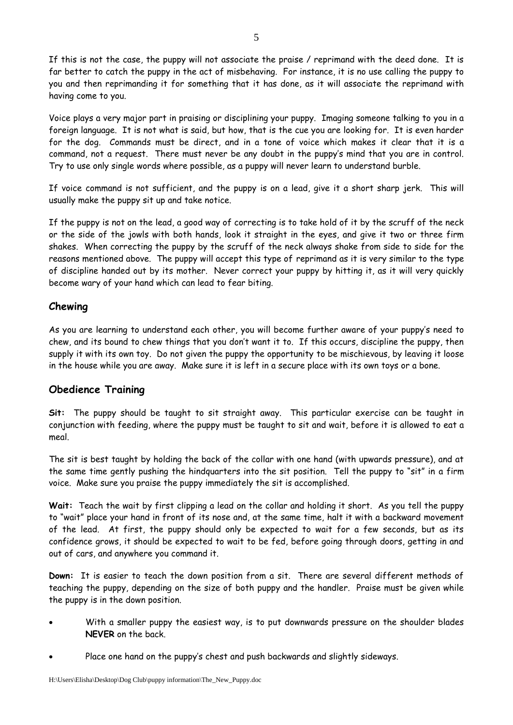If this is not the case, the puppy will not associate the praise / reprimand with the deed done. It is far better to catch the puppy in the act of misbehaving. For instance, it is no use calling the puppy to you and then reprimanding it for something that it has done, as it will associate the reprimand with having come to you.

Voice plays a very major part in praising or disciplining your puppy. Imaging someone talking to you in a foreign language. It is not what is said, but how, that is the cue you are looking for. It is even harder for the dog. Commands must be direct, and in a tone of voice which makes it clear that it is a command, not a request. There must never be any doubt in the puppy's mind that you are in control. Try to use only single words where possible, as a puppy will never learn to understand burble.

If voice command is not sufficient, and the puppy is on a lead, give it a short sharp jerk. This will usually make the puppy sit up and take notice.

If the puppy is not on the lead, a good way of correcting is to take hold of it by the scruff of the neck or the side of the jowls with both hands, look it straight in the eyes, and give it two or three firm shakes. When correcting the puppy by the scruff of the neck always shake from side to side for the reasons mentioned above. The puppy will accept this type of reprimand as it is very similar to the type of discipline handed out by its mother. Never correct your puppy by hitting it, as it will very quickly become wary of your hand which can lead to fear biting.

### **Chewing**

As you are learning to understand each other, you will become further aware of your puppy's need to chew, and its bound to chew things that you don't want it to. If this occurs, discipline the puppy, then supply it with its own toy. Do not given the puppy the opportunity to be mischievous, by leaving it loose in the house while you are away. Make sure it is left in a secure place with its own toys or a bone.

### **Obedience Training**

**Sit:** The puppy should be taught to sit straight away. This particular exercise can be taught in conjunction with feeding, where the puppy must be taught to sit and wait, before it is allowed to eat a meal.

The sit is best taught by holding the back of the collar with one hand (with upwards pressure), and at the same time gently pushing the hindquarters into the sit position. Tell the puppy to "sit" in a firm voice. Make sure you praise the puppy immediately the sit is accomplished.

**Wait:** Teach the wait by first clipping a lead on the collar and holding it short. As you tell the puppy to "wait" place your hand in front of its nose and, at the same time, halt it with a backward movement of the lead. At first, the puppy should only be expected to wait for a few seconds, but as its confidence grows, it should be expected to wait to be fed, before going through doors, getting in and out of cars, and anywhere you command it.

**Down:** It is easier to teach the down position from a sit. There are several different methods of teaching the puppy, depending on the size of both puppy and the handler. Praise must be given while the puppy is in the down position.

- With a smaller puppy the easiest way, is to put downwards pressure on the shoulder blades **NEVER** on the back.
- Place one hand on the puppy's chest and push backwards and slightly sideways.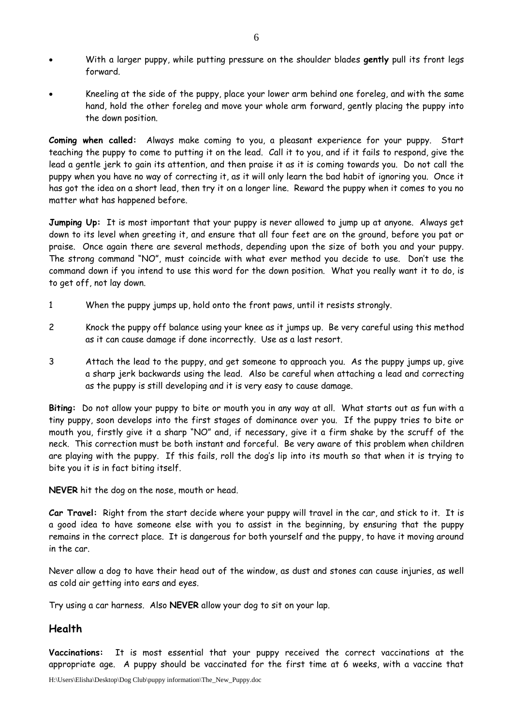- With a larger puppy, while putting pressure on the shoulder blades **gently** pull its front legs forward.
- Kneeling at the side of the puppy, place your lower arm behind one foreleg, and with the same hand, hold the other foreleg and move your whole arm forward, gently placing the puppy into the down position.

**Coming when called:** Always make coming to you, a pleasant experience for your puppy. Start teaching the puppy to come to putting it on the lead. Call it to you, and if it fails to respond, give the lead a gentle jerk to gain its attention, and then praise it as it is coming towards you. Do not call the puppy when you have no way of correcting it, as it will only learn the bad habit of ignoring you. Once it has got the idea on a short lead, then try it on a longer line. Reward the puppy when it comes to you no matter what has happened before.

**Jumping Up:** It is most important that your puppy is never allowed to jump up at anyone. Always get down to its level when greeting it, and ensure that all four feet are on the ground, before you pat or praise. Once again there are several methods, depending upon the size of both you and your puppy. The strong command "NO", must coincide with what ever method you decide to use. Don't use the command down if you intend to use this word for the down position. What you really want it to do, is to get off, not lay down.

- 1 When the puppy jumps up, hold onto the front paws, until it resists strongly.
- 2 Knock the puppy off balance using your knee as it jumps up. Be very careful using this method as it can cause damage if done incorrectly. Use as a last resort.
- 3 Attach the lead to the puppy, and get someone to approach you. As the puppy jumps up, give a sharp jerk backwards using the lead. Also be careful when attaching a lead and correcting as the puppy is still developing and it is very easy to cause damage.

**Biting:** Do not allow your puppy to bite or mouth you in any way at all. What starts out as fun with a tiny puppy, soon develops into the first stages of dominance over you. If the puppy tries to bite or mouth you, firstly give it a sharp "NO" and, if necessary, give it a firm shake by the scruff of the neck. This correction must be both instant and forceful. Be very aware of this problem when children are playing with the puppy. If this fails, roll the dog's lip into its mouth so that when it is trying to bite you it is in fact biting itself.

**NEVER** hit the dog on the nose, mouth or head.

**Car Travel:** Right from the start decide where your puppy will travel in the car, and stick to it. It is a good idea to have someone else with you to assist in the beginning, by ensuring that the puppy remains in the correct place. It is dangerous for both yourself and the puppy, to have it moving around in the car.

Never allow a dog to have their head out of the window, as dust and stones can cause injuries, as well as cold air getting into ears and eyes.

Try using a car harness. Also **NEVER** allow your dog to sit on your lap.

### **Health**

**Vaccinations:** It is most essential that your puppy received the correct vaccinations at the appropriate age. A puppy should be vaccinated for the first time at 6 weeks, with a vaccine that